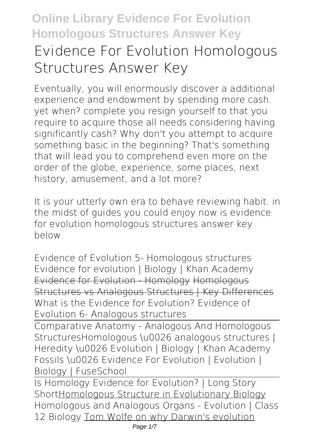# **Online Library Evidence For Evolution Homologous Structures Answer Key Evidence For Evolution Homologous Structures Answer Key**

Eventually, you will enormously discover a additional experience and endowment by spending more cash. yet when? complete you resign yourself to that you require to acquire those all needs considering having significantly cash? Why don't you attempt to acquire something basic in the beginning? That's something that will lead you to comprehend even more on the order of the globe, experience, some places, next history, amusement, and a lot more?

It is your utterly own era to behave reviewing habit. in the midst of guides you could enjoy now is **evidence for evolution homologous structures answer key** below.

Evidence of Evolution 5- Homologous structures Evidence for evolution | Biology | Khan Academy Evidence for Evolution - Homology Homologous Structures vs Analogous Structures | Key Differences **What is the Evidence for Evolution? Evidence of Evolution 6- Analogous structures**

Comparative Anatomy - Analogous And Homologous Structures*Homologous \u0026 analogous structures | Heredity \u0026 Evolution | Biology | Khan Academy* **Fossils \u0026 Evidence For Evolution | Evolution | Biology | FuseSchool**

Is Homology Evidence for Evolution? | Long Story ShortHomologous Structure in Evolutionary Biology Homologous and Analogous Organs - Evolution | Class 12 Biology Tom Wolfe on why Darwin's evolution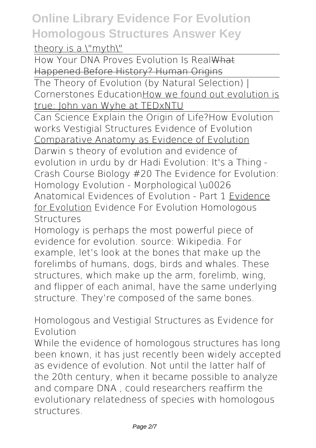#### theory is a \"myth\"

How Your DNA Proves Evolution Is RealWhat Happened Before History? Human Origins

The Theory of Evolution (by Natural Selection) | Cornerstones EducationHow we found out evolution is true: John van Wyhe at TEDxNTU

Can Science Explain the Origin of Life?*How Evolution works Vestigial Structures Evidence of Evolution* Comparative Anatomy as Evidence of Evolution Darwin s theory of evolution and evidence of evolution in urdu by dr Hadi *Evolution: It's a Thing - Crash Course Biology #20* **The Evidence for Evolution: Homology** Evolution - Morphological \u0026 Anatomical Evidences of Evolution - Part 1 Evidence for Evolution Evidence For Evolution Homologous **Structures** 

Homology is perhaps the most powerful piece of evidence for evolution. source: Wikipedia. For example, let's look at the bones that make up the forelimbs of humans, dogs, birds and whales. These structures, which make up the arm, forelimb, wing, and flipper of each animal, have the same underlying structure. They're composed of the same bones.

Homologous and Vestigial Structures as Evidence for Evolution

While the evidence of homologous structures has long been known, it has just recently been widely accepted as evidence of evolution. Not until the latter half of the 20th century, when it became possible to analyze and compare DNA , could researchers reaffirm the evolutionary relatedness of species with homologous structures.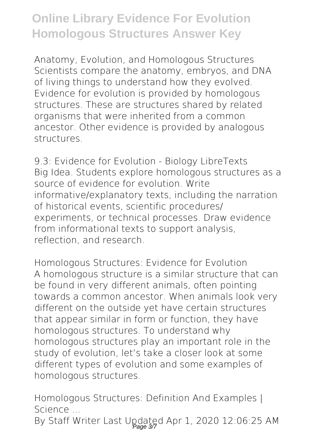Anatomy, Evolution, and Homologous Structures Scientists compare the anatomy, embryos, and DNA of living things to understand how they evolved. Evidence for evolution is provided by homologous structures. These are structures shared by related organisms that were inherited from a common ancestor. Other evidence is provided by analogous structures.

9.3: Evidence for Evolution - Biology LibreTexts Big Idea. Students explore homologous structures as a source of evidence for evolution. Write informative/explanatory texts, including the narration of historical events, scientific procedures/ experiments, or technical processes. Draw evidence from informational texts to support analysis, reflection, and research.

Homologous Structures: Evidence for Evolution A homologous structure is a similar structure that can be found in very different animals, often pointing towards a common ancestor. When animals look very different on the outside yet have certain structures that appear similar in form or function, they have homologous structures. To understand why homologous structures play an important role in the study of evolution, let's take a closer look at some different types of evolution and some examples of homologous structures.

Homologous Structures: Definition And Examples | Science ...

By Staff Writer Last Updated Apr 1, 2020 12:06:25 AM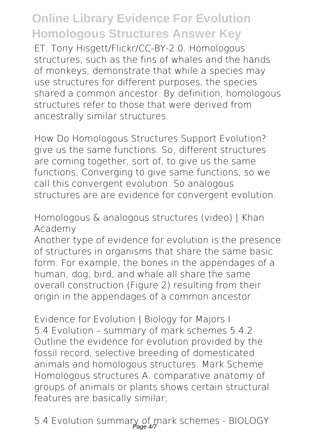ET. Tony Hisgett/Flickr/CC-BY-2.0. Homologous structures, such as the fins of whales and the hands of monkeys, demonstrate that while a species may use structures for different purposes, the species shared a common ancestor. By definition, homologous structures refer to those that were derived from ancestrally similar structures.

How Do Homologous Structures Support Evolution? give us the same functions. So, different structures are coming together, sort of, to give us the same functions, Converging to give same functions, so we call this convergent evolution. So analogous structures are are evidence for convergent evolution.

Homologous & analogous structures (video) | Khan Academy

Another type of evidence for evolution is the presence of structures in organisms that share the same basic form. For example, the bones in the appendages of a human, dog, bird, and whale all share the same overall construction (Figure 2) resulting from their origin in the appendages of a common ancestor.

Evidence for Evolution | Biology for Majors | 5.4 Evolution – summary of mark schemes 5.4.2 Outline the evidence for evolution provided by the fossil record, selective breeding of domesticated animals and homologous structures. Mark Scheme Homologous structures A. comparative anatomy of groups of animals or plants shows certain structural features are basically similar;

5.4 Evolution summary of mark schemes - BIOLOGY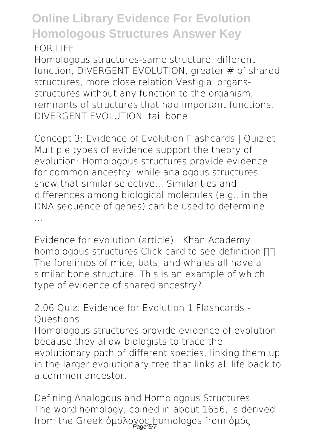Homologous structures-same structure, different function, DIVERGENT EVOLUTION, greater # of shared structures, more close relation Vestigial organsstructures without any function to the organism, remnants of structures that had important functions. DIVERGENT EVOLUTION. tail bone

Concept 3: Evidence of Evolution Flashcards | Quizlet Multiple types of evidence support the theory of evolution: Homologous structures provide evidence for common ancestry, while analogous structures show that similar selective... Similarities and differences among biological molecules (e.g., in the DNA sequence of genes) can be used to determine... ...

Evidence for evolution (article) | Khan Academy homologous structures Click card to see definition  $\Pi$ The forelimbs of mice, bats, and whales all have a similar bone structure. This is an example of which type of evidence of shared ancestry?

2.06 Quiz: Evidence for Evolution 1 Flashcards - Questions ...

Homologous structures provide evidence of evolution because they allow biologists to trace the evolutionary path of different species, linking them up in the larger evolutionary tree that links all life back to a common ancestor.

Defining Analogous and Homologous Structures The word homology, coined in about 1656, is derived from the Greek ὁμόλογος homologos from ὁμός Page 5/7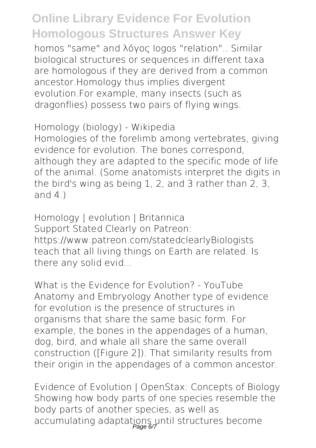homos "same" and λόγος logos "relation".. Similar biological structures or sequences in different taxa are homologous if they are derived from a common ancestor.Homology thus implies divergent evolution.For example, many insects (such as dragonflies) possess two pairs of flying wings.

Homology (biology) - Wikipedia

Homologies of the forelimb among vertebrates, giving evidence for evolution. The bones correspond, although they are adapted to the specific mode of life of the animal. (Some anatomists interpret the digits in the bird's wing as being 1, 2, and 3 rather than 2, 3, and  $4$ )

Homology | evolution | Britannica Support Stated Clearly on Patreon: https://www.patreon.com/statedclearlyBiologists teach that all living things on Earth are related. Is there any solid evid...

What is the Evidence for Evolution? - YouTube Anatomy and Embryology Another type of evidence for evolution is the presence of structures in organisms that share the same basic form. For example, the bones in the appendages of a human, dog, bird, and whale all share the same overall construction ([Figure 2]). That similarity results from their origin in the appendages of a common ancestor.

Evidence of Evolution | OpenStax: Concepts of Biology Showing how body parts of one species resemble the body parts of another species, as well as accumulating adaptations until structures become